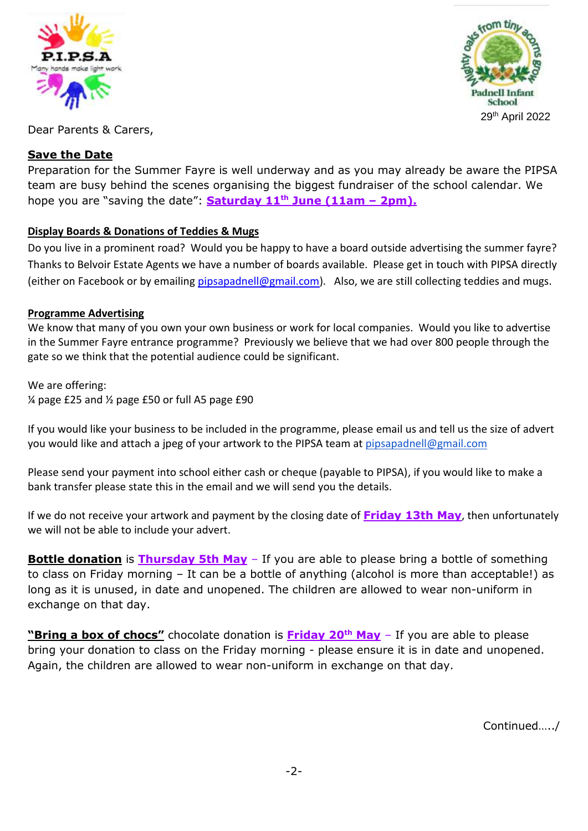



Dear Parents & Carers,

# **Save the Date**

Preparation for the Summer Fayre is well underway and as you may already be aware the PIPSA team are busy behind the scenes organising the biggest fundraiser of the school calendar. We hope you are "saving the date": **Saturday 11th June (11am – 2pm).**

# **Display Boards & Donations of Teddies & Mugs**

Do you live in a prominent road? Would you be happy to have a board outside advertising the summer fayre? Thanks to Belvoir Estate Agents we have a number of boards available. Please get in touch with PIPSA directly (either on Facebook or by emailing [pipsapadnell@gmail.com\)](mailto:pipsapadnell@gmail.com). Also, we are still collecting teddies and mugs.

### **Programme Advertising**

We know that many of you own your own business or work for local companies. Would you like to advertise in the Summer Fayre entrance programme? Previously we believe that we had over 800 people through the gate so we think that the potential audience could be significant.

We are offering: ¼ page £25 and ½ page £50 or full A5 page £90

If you would like your business to be included in the programme, please email us and tell us the size of advert you would like and attach a jpeg of your artwork to the PIPSA team at [pipsapadnell@gmail.com](mailto:pipsapadnell@gmail.com)

Please send your payment into school either cash or cheque (payable to PIPSA), if you would like to make a bank transfer please state this in the email and we will send you the details.

If we do not receive your artwork and payment by the closing date of **Friday 13th May**, then unfortunately we will not be able to include your advert.

**Bottle donation** is **Thursday 5th May** – If you are able to please bring a bottle of something to class on Friday morning – It can be a bottle of anything (alcohol is more than acceptable!) as long as it is unused, in date and unopened. The children are allowed to wear non-uniform in exchange on that day.

**"Bring a box of chocs"** chocolate donation is **Friday 20th May** – If you are able to please bring your donation to class on the Friday morning - please ensure it is in date and unopened. Again, the children are allowed to wear non-uniform in exchange on that day.

Continued…../